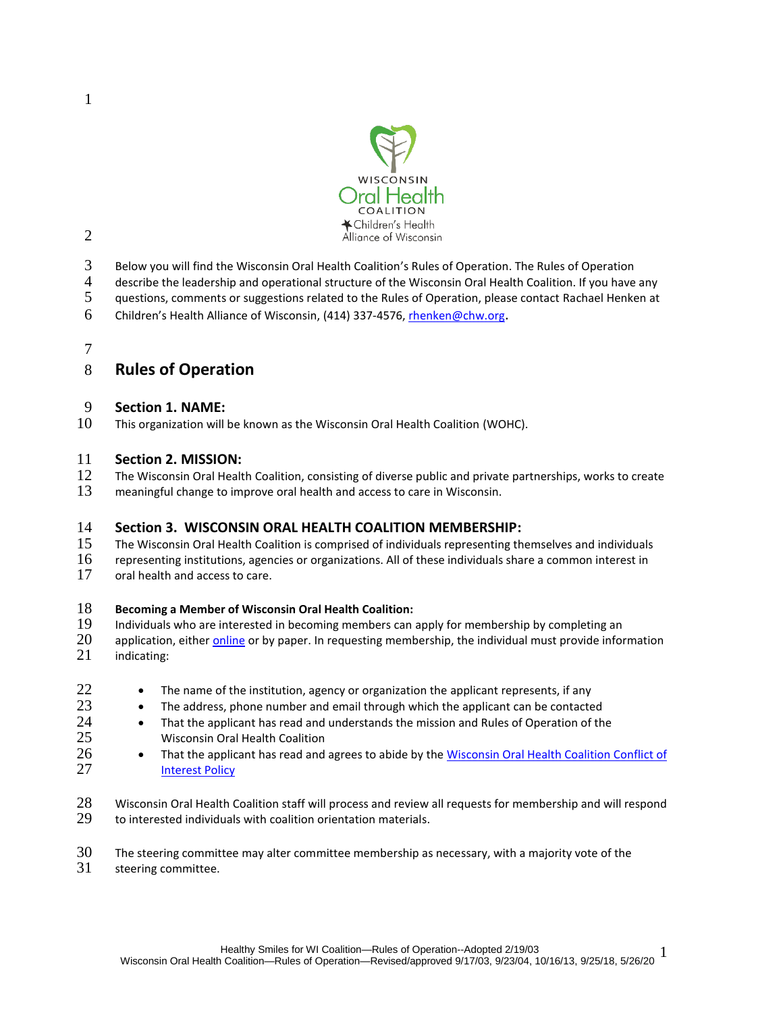

- Below you will find the Wisconsin Oral Health Coalition's Rules of Operation. The Rules of Operation
- describe the leadership and operational structure of the Wisconsin Oral Health Coalition. If you have any
- 5 guestions, comments or suggestions related to the Rules of Operation, please contact Rachael Henken at
- Children's Health Alliance of Wisconsin, (414) 337-4576, rhenken@chw.org.

#### 

## **Rules of Operation**

### **Section 1. NAME:**

This organization will be known as the Wisconsin Oral Health Coalition (WOHC).

#### **Section 2. MISSION:**

- 12 The Wisconsin Oral Health Coalition, consisting of diverse public and private partnerships, works to create
- meaningful change to improve oral health and access to care in Wisconsin.

### **Section 3. WISCONSIN ORAL HEALTH COALITION MEMBERSHIP:**

- The Wisconsin Oral Health Coalition is comprised of individuals representing themselves and individuals
- representing institutions, agencies or organizations. All of these individuals share a common interest in
- 17 oral health and access to care.

### **Becoming a Member of Wisconsin Oral Health Coalition:**

- Individuals who are interested in becoming members can apply for membership by completing an
- 20 application, either *online* or by paper. In requesting membership, the individual must provide information<br>21 indicating:
- indicating:
- 22  $\bullet$  The name of the institution, agency or organization the applicant represents, if any
- $\bullet$  The address, phone number and email through which the applicant can be contacted
- 24 **•** That the applicant has read and understands the mission and Rules of Operation of the Wisconsin Oral Health Coalition Wisconsin Oral Health Coalition
- **That the applicant has read and agrees to abide by th[e Wisconsin Oral Health Coalition Conflict of](https://www.surveymonkey.com/r/WOHC15) 127 [Interest Policy](https://www.surveymonkey.com/r/WOHC15)**
- Wisconsin Oral Health Coalition staff will process and review all requests for membership and will respond 29 to interested individuals with coalition orientation materials.

#### The steering committee may alter committee membership as necessary, with a majority vote of the

steering committee.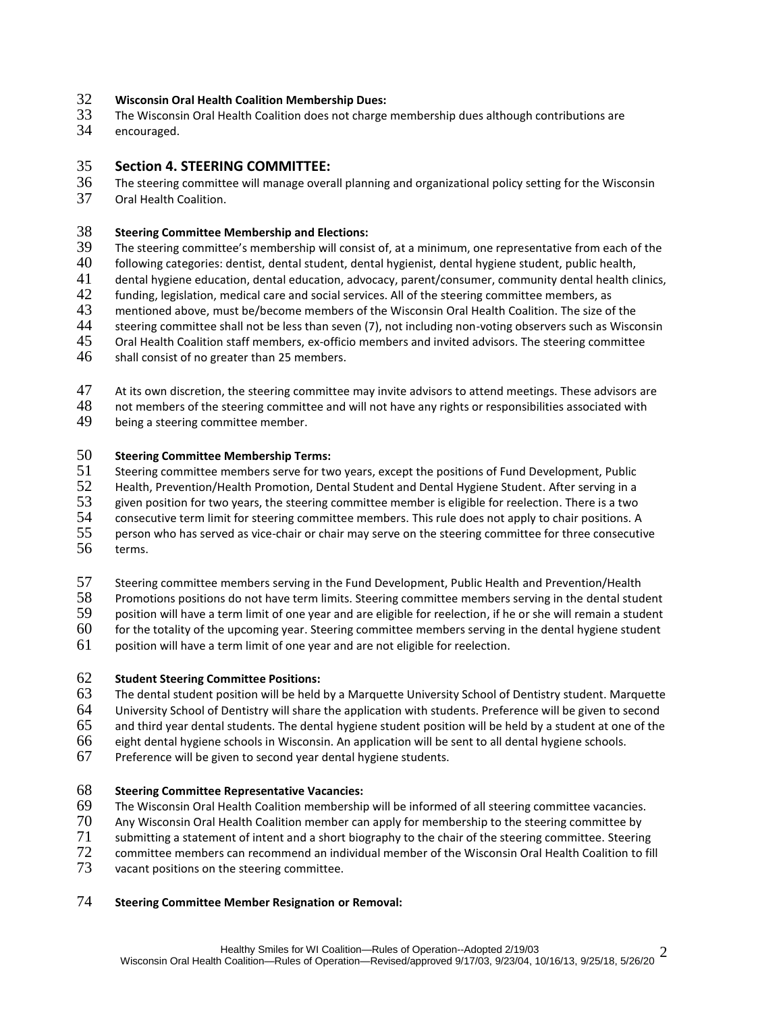## 32 **Wisconsin Oral Health Coalition Membership Dues:**

- 33 The Wisconsin Oral Health Coalition does not charge membership dues although contributions are
- encouraged.

#### 35 **Section 4. STEERING COMMITTEE:**

36 The steering committee will manage overall planning and organizational policy setting for the Wisconsin<br>37 Oral Health Coalition. Oral Health Coalition.

## 38 **Steering Committee Membership and Elections:**

- 39 The steering committee's membership will consist of, at a minimum, one representative from each of the 40 following categories: dentist, dental student, dental hygiens, dental hygiene student, public health.
- 40 following categories: dentist, dental student, dental hygienist, dental hygiene student, public health,
- 41 dental hygiene education, dental education, advocacy, parent/consumer, community dental health clinics,<br>42 funding, legislation, medical care and social services. All of the steering committee members, as
- 42 funding, legislation, medical care and social services. All of the steering committee members, as<br>43 mentioned above, must be/become members of the Wisconsin Oral Health Coalition. The size of
- 43 mentioned above, must be/become members of the Wisconsin Oral Health Coalition. The size of the
- 44 steering committee shall not be less than seven (7), not including non-voting observers such as Wisconsin
- 45 Oral Health Coalition staff members, ex-officio members and invited advisors. The steering committee
- 46 shall consist of no greater than 25 members.
- 47 At its own discretion, the steering committee may invite advisors to attend meetings. These advisors are
- 48 not members of the steering committee and will not have any rights or responsibilities associated with
- 49 being a steering committee member.

#### 50 **Steering Committee Membership Terms:**

51 Steering committee members serve for two years, except the positions of Fund Development, Public<br>52 Health. Prevention/Health Promotion. Dental Student and Dental Hygiene Student. After serving in a

- 52 Health, Prevention/Health Promotion, Dental Student and Dental Hygiene Student. After serving in a<br>53 Fiven position for two years, the steering committee member is eligible for reelection. There is a two
- 53 given position for two years, the steering committee member is eligible for reelection. There is a two
- 54 consecutive term limit for steering committee members. This rule does not apply to chair positions. A<br>55 person who has served as vice-chair or chair may serve on the steering committee for three consecution
- 55 person who has served as vice-chair or chair may serve on the steering committee for three consecutive<br>56 terms.
- terms.
- 57 Steering committee members serving in the Fund Development, Public Health and Prevention/Health
- 58 Promotions positions do not have term limits. Steering committee members serving in the dental student<br>59 position will have a term limit of one year and are eligible for reelection, if he or she will remain a student
- position will have a term limit of one year and are eligible for reelection, if he or she will remain a student
- 60 for the totality of the upcoming year. Steering committee members serving in the dental hygiene student
- 61 position will have a term limit of one year and are not eligible for reelection.

### 62 **Student Steering Committee Positions:**

- 63 The dental student position will be held by a Marquette University School of Dentistry student. Marquette
- 64 University School of Dentistry will share the application with students. Preference will be given to second
- $65$  and third year dental students. The dental hygiene student position will be held by a student at one of the
- 66 eight dental hygiene schools in Wisconsin. An application will be sent to all dental hygiene schools.
- 67 Preference will be given to second year dental hygiene students.

### 68 **Steering Committee Representative Vacancies:**

- 69 The Wisconsin Oral Health Coalition membership will be informed of all steering committee vacancies.
- 
- 70 Any Wisconsin Oral Health Coalition member can apply for membership to the steering committee by<br>71 Submitting a statement of intent and a short biography to the chair of the steering committee. Steerin submitting a statement of intent and a short biography to the chair of the steering committee. Steering
- 72 committee members can recommend an individual member of the Wisconsin Oral Health Coalition to fill
- 73 vacant positions on the steering committee.

#### 74 **Steering Committee Member Resignation or Removal:**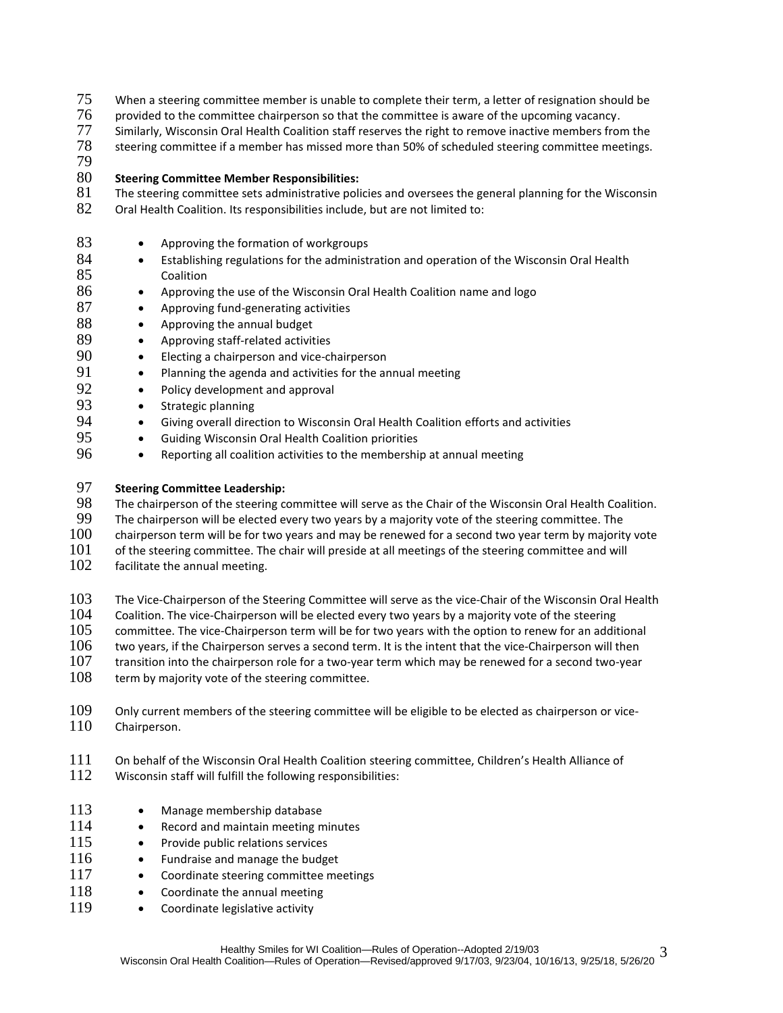- 75 When a steering committee member is unable to complete their term, a letter of resignation should be
- 76 provided to the committee chairperson so that the committee is aware of the upcoming vacancy.<br>77 Similarly, Wisconsin Oral Health Coalition staff reserves the right to remove inactive members fror
- Similarly, Wisconsin Oral Health Coalition staff reserves the right to remove inactive members from the
- 78 steering committee if a member has missed more than 50% of scheduled steering committee meetings.
- 79

### 80 **Steering Committee Member Responsibilities:**

- 81 The steering committee sets administrative policies and oversees the general planning for the Wisconsin
- 82 Oral Health Coalition. Its responsibilities include, but are not limited to:
- 83 Approving the formation of workgroups
- 84 Establishing regulations for the administration and operation of the Wisconsin Oral Health 85 Coalition
- 86 Approving the use of the Wisconsin Oral Health Coalition name and logo
- 87 Approving fund-generating activities
- 88 Approving the annual budget
- 89 Approving staff-related activities
- 90 Electing a chairperson and vice-chairperson
- 91 Planning the agenda and activities for the annual meeting
- 92 Policy development and approval
- 93 Strategic planning
- 94 Giving overall direction to Wisconsin Oral Health Coalition efforts and activities
- 95 **•** Guiding Wisconsin Oral Health Coalition priorities
- 96 Reporting all coalition activities to the membership at annual meeting

## 97 **Steering Committee Leadership:**

98 The chairperson of the steering committee will serve as the Chair of the Wisconsin Oral Health Coalition.<br>99 The chairperson will be elected every two years by a majority vote of the steering committee. The

- 99 The chairperson will be elected every two years by a majority vote of the steering committee. The 100 chairperson term will be for two vears and may be renewed for a second two vear term by majorit
- $100$  chairperson term will be for two years and may be renewed for a second two year term by majority vote  $101$  of the steering committee and will
- of the steering committee. The chair will preside at all meetings of the steering committee and will
- 102 facilitate the annual meeting.
- 103 The Vice-Chairperson of the Steering Committee will serve as the vice-Chair of the Wisconsin Oral Health
- $104$  Coalition. The vice-Chairperson will be elected every two years by a majority vote of the steering  $105$  committee. The vice-Chairperson term will be for two vears with the option to renew for an addit
- committee. The vice-Chairperson term will be for two years with the option to renew for an additional
- 106 two years, if the Chairperson serves a second term. It is the intent that the vice-Chairperson will then
- 107 transition into the chairperson role for a two-year term which may be renewed for a second two-year<br>108 term by maiority vote of the steering committee.
- term by majority vote of the steering committee.
- 109 Only current members of the steering committee will be eligible to be elected as chairperson or vice-<br>110 Chairperson. Chairperson.
- 111 On behalf of the Wisconsin Oral Health Coalition steering committee, Children's Health Alliance of
- 112 Wisconsin staff will fulfill the following responsibilities:
- 113 Manage membership database
- 114 Record and maintain meeting minutes
- 115 Provide public relations services
- 116 Fundraise and manage the budget
- 117 Coordinate steering committee meetings
- 118 Coordinate the annual meeting
- 119 Coordinate legislative activity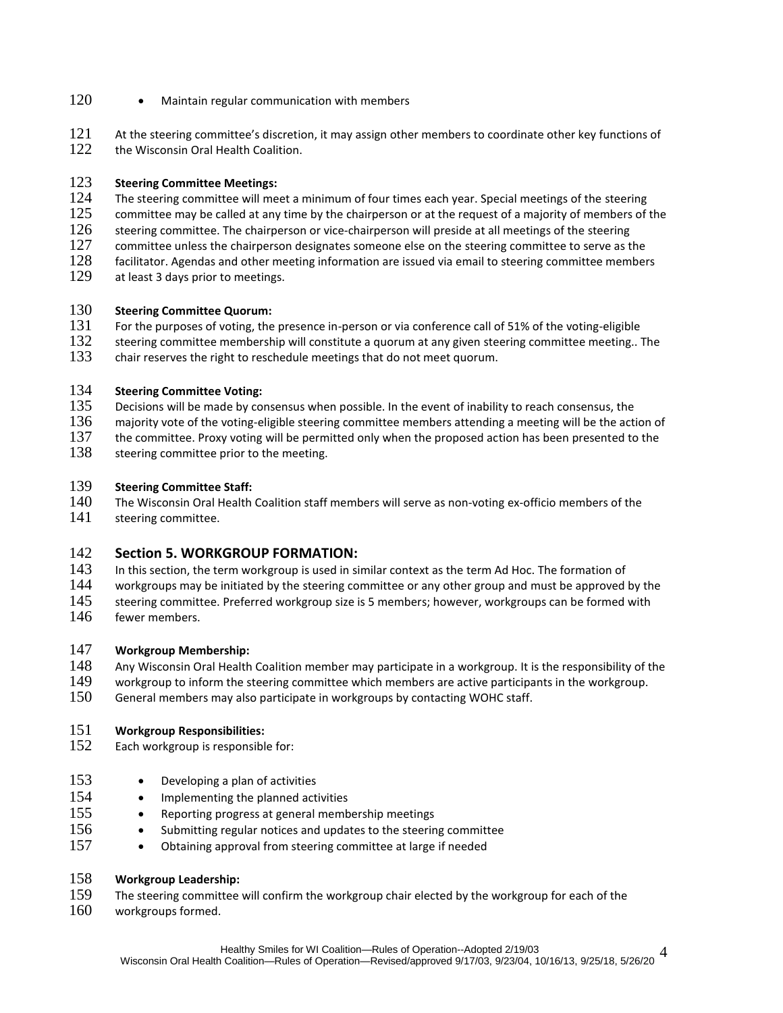- 120 Maintain regular communication with members
- 121 At the steering committee's discretion, it may assign other members to coordinate other key functions of
- 122 the Wisconsin Oral Health Coalition.

### 123 **Steering Committee Meetings:**

- 124 The steering committee will meet a minimum of four times each year. Special meetings of the steering<br>125 committee may be called at any time by the chairperson or at the request of a majority of members of t
- committee may be called at any time by the chairperson or at the request of a majority of members of the
- $126$  steering committee. The chairperson or vice-chairperson will preside at all meetings of the steering
- 127 committee unless the chairperson designates someone else on the steering committee to serve as the
- 128 facilitator. Agendas and other meeting information are issued via email to steering committee members 129 at least 3 davs prior to meetings. at least 3 days prior to meetings.
- 
- 130 **Steering Committee Quorum:**<br>131 For the purposes of voting, the For the purposes of voting, the presence in-person or via conference call of 51% of the voting-eligible
- 132 steering committee membership will constitute a quorum at any given steering committee meeting.. The 133 chair reserves the right to reschedule meetings that do not meet quorum.
- chair reserves the right to reschedule meetings that do not meet quorum.

## 134 **Steering Committee Voting:**

- 135 Decisions will be made by consensus when possible. In the event of inability to reach consensus, the
- 136 majority vote of the voting-eligible steering committee members attending a meeting will be the action of
- 137 the committee. Proxy voting will be permitted only when the proposed action has been presented to the 138 steering committee prior to the meeting.
- steering committee prior to the meeting.

## 139 **Steering Committee Staff:**

- The Wisconsin Oral Health Coalition staff members will serve as non-voting ex-officio members of the
- 141 steering committee.

## **142 Section 5. WORKGROUP FORMATION:**<br>143 In this section, the term workgroup is used in si

- 143 In this section, the term workgroup is used in similar context as the term Ad Hoc. The formation of 144 vorkgroups may be initiated by the steering committee or any other group and must be approved
- workgroups may be initiated by the steering committee or any other group and must be approved by the
- 145 steering committee. Preferred workgroup size is 5 members; however, workgroups can be formed with
- 146 fewer members.

## 147 **Workgroup Membership:**

- 148 Any Wisconsin Oral Health Coalition member may participate in a workgroup. It is the responsibility of the
- 149 workgroup to inform the steering committee which members are active participants in the workgroup.
- 150 General members may also participate in workgroups by contacting WOHC staff.

## 151 **Workgroup Responsibilities:**

- 152 Each workgroup is responsible for:
- 153 Developing a plan of activities
- 154 Implementing the planned activities
- 155 Reporting progress at general membership meetings
- 156 Submitting regular notices and updates to the steering committee
- 157 Obtaining approval from steering committee at large if needed

### 158 **Workgroup Leadership:**

- 159 The steering committee will confirm the workgroup chair elected by the workgroup for each of the 160 workgroups formed.
- workgroups formed.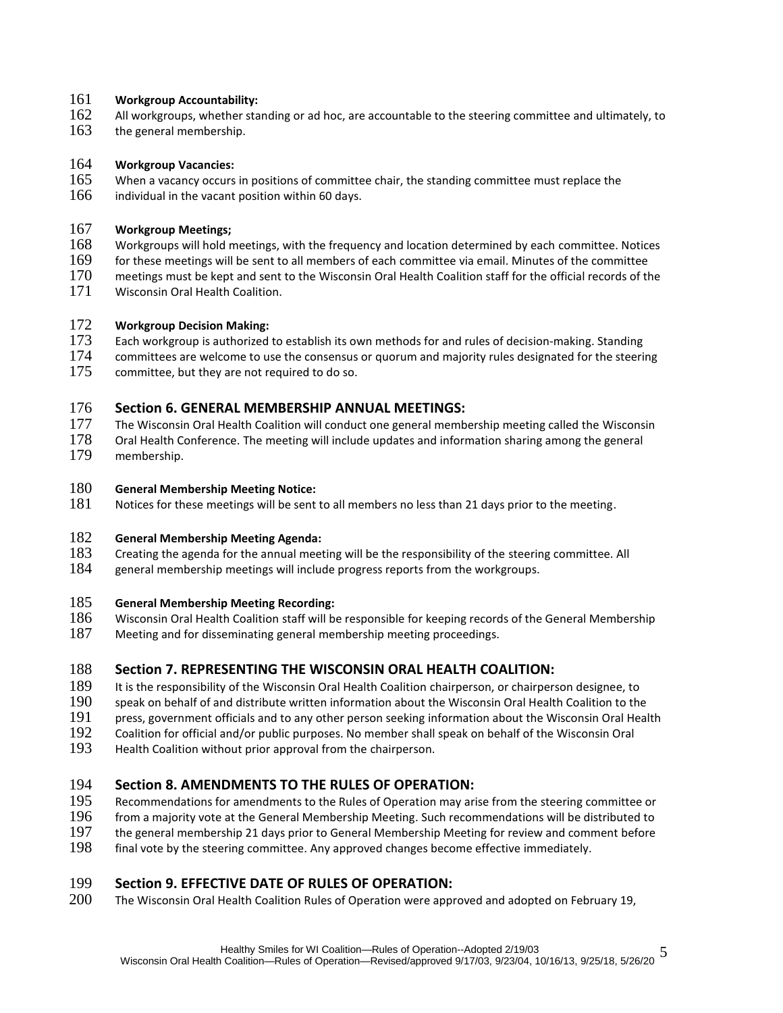#### 161 **Workgroup Accountability:**

- 162 All workgroups, whether standing or ad hoc, are accountable to the steering committee and ultimately, to 163<br>163 the general membership.
- the general membership.

## 164 **Workgroup Vacancies:**

- 165 When a vacancy occurs in positions of committee chair, the standing committee must replace the
- $166$  individual in the vacant position within 60 days.

### 167 **Workgroup Meetings;**

- 168 Workgroups will hold meetings, with the frequency and location determined by each committee. Notices 169<br>169 for these meetings will be sent to all members of each committee via email. Minutes of the committee
- for these meetings will be sent to all members of each committee via email. Minutes of the committee
- 170 meetings must be kept and sent to the Wisconsin Oral Health Coalition staff for the official records of the
- 171 Wisconsin Oral Health Coalition.

### 172 **Workgroup Decision Making:**

- $173$  Each workgroup is authorized to establish its own methods for and rules of decision-making. Standing
- 174 committees are welcome to use the consensus or quorum and majority rules designated for the steering 175 committee, but they are not required to do so.

# 176 **Section 6. GENERAL MEMBERSHIP ANNUAL MEETINGS:**<br>177 The Wisconsin Oral Health Coalition will conduct one general memb

- The Wisconsin Oral Health Coalition will conduct one general membership meeting called the Wisconsin
- 178 Oral Health Conference. The meeting will include updates and information sharing among the general 179 membership.

### 180 **General Membership Meeting Notice:**

181 Notices for these meetings will be sent to all members no less than 21 days prior to the meeting.

## 182 **General Membership Meeting Agenda:**

- 183 Creating the agenda for the annual meeting will be the responsibility of the steering committee. All general membership meetings will include progress reports from the workgroups.
- general membership meetings will include progress reports from the workgroups.

## 185 **General Membership Meeting Recording:**

- 186 Wisconsin Oral Health Coalition staff will be responsible for keeping records of the General Membership
- 187 Meeting and for disseminating general membership meeting proceedings.

## 188 **Section 7. REPRESENTING THE WISCONSIN ORAL HEALTH COALITION:**

- 189 It is the responsibility of the Wisconsin Oral Health Coalition chairperson, or chairperson designee, to
- 190 speak on behalf of and distribute written information about the Wisconsin Oral Health Coalition to the
- 191 press, government officials and to any other person seeking information about the Wisconsin Oral Health
- 192 Coalition for official and/or public purposes. No member shall speak on behalf of the Wisconsin Oral<br>193 Health Coalition without prior approval from the chairperson.
- Health Coalition without prior approval from the chairperson.

# **194 Section 8. AMENDMENTS TO THE RULES OF OPERATION:**<br>195 Recommendations for amendments to the Rules of Operation may ari

- 195 Recommendations for amendments to the Rules of Operation may arise from the steering committee or<br>196 from a maiority vote at the General Membership Meeting. Such recommendations will be distributed to
- 196 from a majority vote at the General Membership Meeting. Such recommendations will be distributed to 197 the general membership 21 days prior to General Membership Burging Membership 21 days prior to General Membership
- the general membership 21 days prior to General Membership Meeting for review and comment before
- 198 final vote by the steering committee. Any approved changes become effective immediately.

# **199 Section 9. EFFECTIVE DATE OF RULES OF OPERATION:**<br>200 The Wisconsin Oral Health Coalition Rules of Operation were app

The Wisconsin Oral Health Coalition Rules of Operation were approved and adopted on February 19,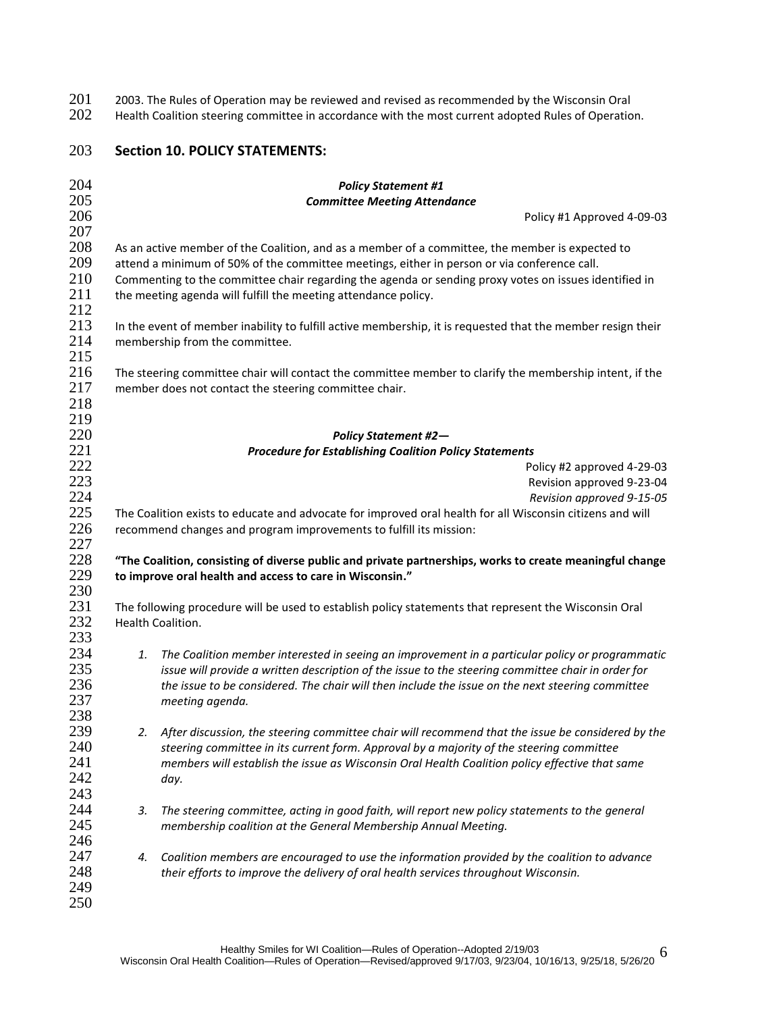201 2003. The Rules of Operation may be reviewed and revised as recommended by the Wisconsin Oral<br>202 Health Coalition steering committee in accordance with the most current adopted Rules of Operation

Health Coalition steering committee in accordance with the most current adopted Rules of Operation.

## **Section 10. POLICY STATEMENTS:**

| 204                      |                                                                                                                            | <b>Policy Statement #1</b>                                                                                                                                                                                                                                                                                                                                                |
|--------------------------|----------------------------------------------------------------------------------------------------------------------------|---------------------------------------------------------------------------------------------------------------------------------------------------------------------------------------------------------------------------------------------------------------------------------------------------------------------------------------------------------------------------|
| 205                      |                                                                                                                            | <b>Committee Meeting Attendance</b>                                                                                                                                                                                                                                                                                                                                       |
| 206                      |                                                                                                                            | Policy #1 Approved 4-09-03                                                                                                                                                                                                                                                                                                                                                |
| 207                      |                                                                                                                            |                                                                                                                                                                                                                                                                                                                                                                           |
| 208<br>209<br>210<br>211 |                                                                                                                            | As an active member of the Coalition, and as a member of a committee, the member is expected to<br>attend a minimum of 50% of the committee meetings, either in person or via conference call.<br>Commenting to the committee chair regarding the agenda or sending proxy votes on issues identified in<br>the meeting agenda will fulfill the meeting attendance policy. |
| 212                      |                                                                                                                            |                                                                                                                                                                                                                                                                                                                                                                           |
| 213<br>214               |                                                                                                                            | In the event of member inability to fulfill active membership, it is requested that the member resign their                                                                                                                                                                                                                                                               |
| 215                      |                                                                                                                            | membership from the committee.                                                                                                                                                                                                                                                                                                                                            |
| 216<br>217               |                                                                                                                            | The steering committee chair will contact the committee member to clarify the membership intent, if the<br>member does not contact the steering committee chair.                                                                                                                                                                                                          |
| 218                      |                                                                                                                            |                                                                                                                                                                                                                                                                                                                                                                           |
| 219                      |                                                                                                                            |                                                                                                                                                                                                                                                                                                                                                                           |
| 220                      |                                                                                                                            | <b>Policy Statement #2-</b>                                                                                                                                                                                                                                                                                                                                               |
| 221                      |                                                                                                                            | <b>Procedure for Establishing Coalition Policy Statements</b>                                                                                                                                                                                                                                                                                                             |
| 222                      |                                                                                                                            | Policy #2 approved 4-29-03                                                                                                                                                                                                                                                                                                                                                |
| 223                      |                                                                                                                            | Revision approved 9-23-04                                                                                                                                                                                                                                                                                                                                                 |
| 224                      |                                                                                                                            | Revision approved 9-15-05                                                                                                                                                                                                                                                                                                                                                 |
| 225                      |                                                                                                                            | The Coalition exists to educate and advocate for improved oral health for all Wisconsin citizens and will                                                                                                                                                                                                                                                                 |
| 226                      |                                                                                                                            | recommend changes and program improvements to fulfill its mission:                                                                                                                                                                                                                                                                                                        |
| 227                      |                                                                                                                            |                                                                                                                                                                                                                                                                                                                                                                           |
| 228                      |                                                                                                                            | "The Coalition, consisting of diverse public and private partnerships, works to create meaningful change                                                                                                                                                                                                                                                                  |
| 229                      |                                                                                                                            | to improve oral health and access to care in Wisconsin."                                                                                                                                                                                                                                                                                                                  |
| 230                      |                                                                                                                            |                                                                                                                                                                                                                                                                                                                                                                           |
| 231                      |                                                                                                                            |                                                                                                                                                                                                                                                                                                                                                                           |
|                          | The following procedure will be used to establish policy statements that represent the Wisconsin Oral<br>Health Coalition. |                                                                                                                                                                                                                                                                                                                                                                           |
| 232                      |                                                                                                                            |                                                                                                                                                                                                                                                                                                                                                                           |
| 233                      |                                                                                                                            |                                                                                                                                                                                                                                                                                                                                                                           |
| 234                      | 1.                                                                                                                         | The Coalition member interested in seeing an improvement in a particular policy or programmatic                                                                                                                                                                                                                                                                           |
| 235                      |                                                                                                                            | issue will provide a written description of the issue to the steering committee chair in order for                                                                                                                                                                                                                                                                        |
| 236                      |                                                                                                                            | the issue to be considered. The chair will then include the issue on the next steering committee                                                                                                                                                                                                                                                                          |
| 237                      |                                                                                                                            | meeting agenda.                                                                                                                                                                                                                                                                                                                                                           |
| 238                      |                                                                                                                            |                                                                                                                                                                                                                                                                                                                                                                           |
| 239                      | 2.                                                                                                                         | After discussion, the steering committee chair will recommend that the issue be considered by the                                                                                                                                                                                                                                                                         |
| 240                      |                                                                                                                            | steering committee in its current form. Approval by a majority of the steering committee                                                                                                                                                                                                                                                                                  |
| 241                      |                                                                                                                            | members will establish the issue as Wisconsin Oral Health Coalition policy effective that same                                                                                                                                                                                                                                                                            |
| 242                      |                                                                                                                            | day.                                                                                                                                                                                                                                                                                                                                                                      |
| 243                      |                                                                                                                            |                                                                                                                                                                                                                                                                                                                                                                           |
| 244                      | 3.                                                                                                                         | The steering committee, acting in good faith, will report new policy statements to the general                                                                                                                                                                                                                                                                            |
| 245                      |                                                                                                                            |                                                                                                                                                                                                                                                                                                                                                                           |
| 246                      |                                                                                                                            | membership coalition at the General Membership Annual Meeting.                                                                                                                                                                                                                                                                                                            |
|                          |                                                                                                                            |                                                                                                                                                                                                                                                                                                                                                                           |
| 247                      | 4.                                                                                                                         | Coalition members are encouraged to use the information provided by the coalition to advance                                                                                                                                                                                                                                                                              |
| 248                      |                                                                                                                            | their efforts to improve the delivery of oral health services throughout Wisconsin.                                                                                                                                                                                                                                                                                       |
| 249                      |                                                                                                                            |                                                                                                                                                                                                                                                                                                                                                                           |
| 250                      |                                                                                                                            |                                                                                                                                                                                                                                                                                                                                                                           |